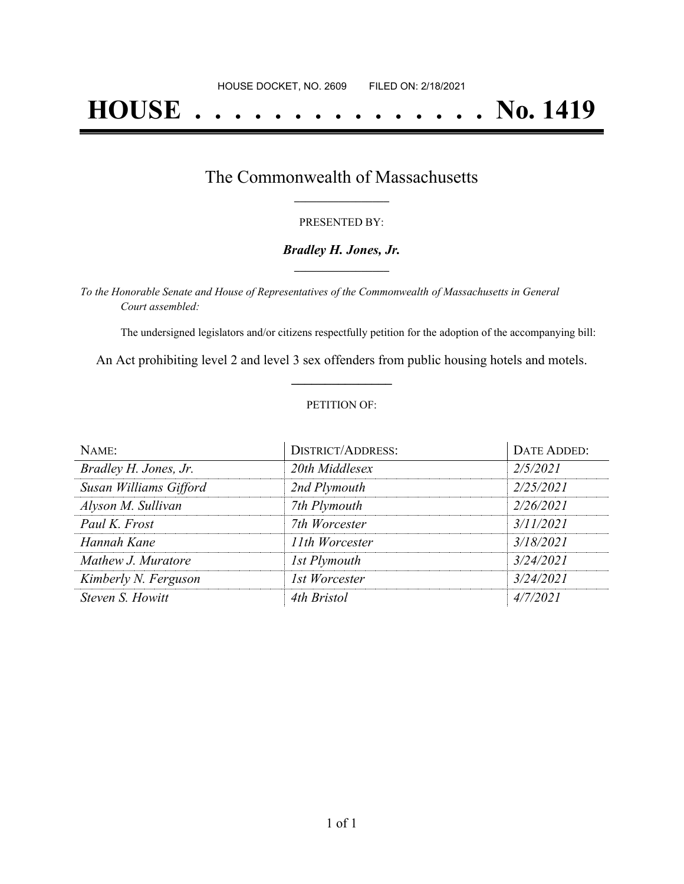# **HOUSE . . . . . . . . . . . . . . . No. 1419**

### The Commonwealth of Massachusetts **\_\_\_\_\_\_\_\_\_\_\_\_\_\_\_\_\_**

#### PRESENTED BY:

#### *Bradley H. Jones, Jr.* **\_\_\_\_\_\_\_\_\_\_\_\_\_\_\_\_\_**

*To the Honorable Senate and House of Representatives of the Commonwealth of Massachusetts in General Court assembled:*

The undersigned legislators and/or citizens respectfully petition for the adoption of the accompanying bill:

An Act prohibiting level 2 and level 3 sex offenders from public housing hotels and motels. **\_\_\_\_\_\_\_\_\_\_\_\_\_\_\_**

#### PETITION OF:

| NAME:                  | <b>DISTRICT/ADDRESS:</b> | DATE ADDED: |
|------------------------|--------------------------|-------------|
| Bradley H. Jones, Jr.  | 20th Middlesex           | 2/5/2021    |
| Susan Williams Gifford | 2nd Plymouth             | 2/25/2021   |
| Alyson M. Sullivan     | 7th Plymouth             | 2/26/2021   |
| Paul K. Frost          | 7th Worcester            | 3/11/2021   |
| Hannah Kane            | 11th Worcester           | 3/18/2021   |
| Mathew J. Muratore     | 1st Plymouth             | 3/24/2021   |
| Kimberly N. Ferguson   | 1st Worcester            | 3/24/2021   |
| Steven S. Howitt       | 4th Bristol              | 4/7/2021    |